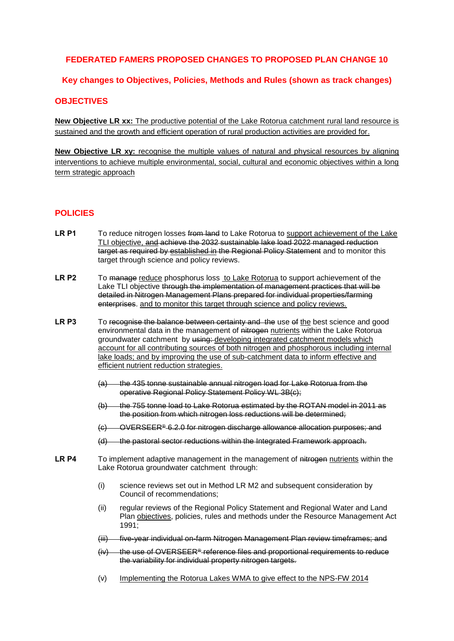# **FEDERATED FAMERS PROPOSED CHANGES TO PROPOSED PLAN CHANGE 10**

## **Key changes to Objectives, Policies, Methods and Rules (shown as track changes)**

## **OBJECTIVES**

**New Objective LR xx:** The productive potential of the Lake Rotorua catchment rural land resource is sustained and the growth and efficient operation of rural production activities are provided for.

**New Objective LR xy:** recognise the multiple values of natural and physical resources by aligning interventions to achieve multiple environmental, social, cultural and economic objectives within a long term strategic approach

#### **POLICIES**

- LR P1 To reduce nitrogen losses from land to Lake Rotorua to support achievement of the Lake TLI objective, and achieve the 2032 sustainable lake load 2022 managed reduction target as required by established in the Regional Policy Statement and to monitor this target through science and policy reviews.
- **LR P2** To manage reduce phosphorus loss to Lake Rotorua to support achievement of the Lake TLI objective through the implementation of management practices that will be detailed in Nitrogen Management Plans prepared for individual properties/farming enterprises. and to monitor this target through science and policy reviews.
- LR P3 To recognise the balance between certainty and the use of the best science and good environmental data in the management of nitrogen nutrients within the Lake Rotorua groundwater catchment by using: developing integrated catchment models which account for all contributing sources of both nitrogen and phosphorous including internal lake loads; and by improving the use of sub-catchment data to inform effective and efficient nutrient reduction strategies.
	- (a) the 435 tonne sustainable annual nitrogen load for Lake Rotorua from the operative Regional Policy Statement Policy WL 3B(c);
	- (b) the 755 tonne load to Lake Rotorua estimated by the ROTAN model in 2011 as the position from which nitrogen loss reductions will be determined;
	- (c) OVERSEER® 6.2.0 for nitrogen discharge allowance allocation purposes; and
	- (d) the pastoral sector reductions within the Integrated Framework approach.
- LR P4 To implement adaptive management in the management of nitrogen nutrients within the Lake Rotorua groundwater catchment through:
	- (i) science reviews set out in Method LR M2 and subsequent consideration by Council of recommendations;
	- (ii) regular reviews of the Regional Policy Statement and Regional Water and Land Plan objectives, policies, rules and methods under the Resource Management Act 1991;
	- (iii) five-year individual on-farm Nitrogen Management Plan review timeframes; and
	- $(iv)$  the use of OVERSEER<sup>®</sup> reference files and proportional requirements to reduce the variability for individual property nitrogen targets.
	- (v) Implementing the Rotorua Lakes WMA to give effect to the NPS-FW 2014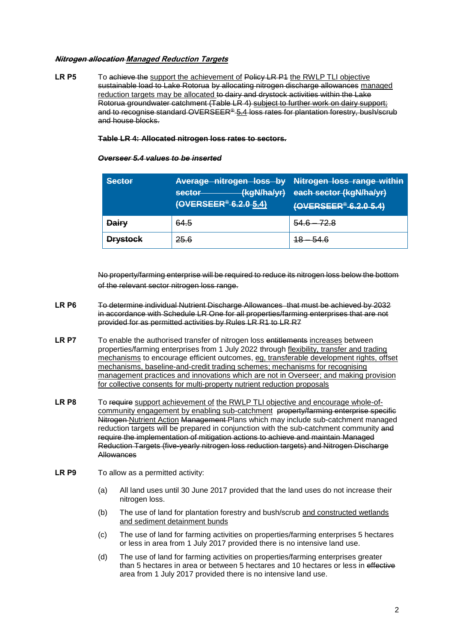#### **Nitrogen allocation Managed Reduction Targets**

**LR P5** To achieve the support the achievement of Policy LR P1 the RWLP TLI objective sustainable load to Lake Rotorua by allocating nitrogen discharge allowances managed reduction targets may be allocated to dairy and drystock activities within the Lake Rotorua groundwater catchment (Table LR 4) subject to further work on dairy support; and to recognise standard OVERSEER® 5.4 loss rates for plantation forestry, bush/scrub and house blocks.

#### **Table LR 4: Allocated nitrogen loss rates to sectors.**

#### *Overseer 5.4 values to be inserted*

| Sector          | Average nitrogen loss by Nitrogen loss range within<br>(kgN/ha/yr)<br>sector<br>(OVERSEER® 6.2.0 5.4) | each sector (kgN/ha/yr)<br>(OVERSEER®-6.2.0-5.4) |
|-----------------|-------------------------------------------------------------------------------------------------------|--------------------------------------------------|
| <b>Dairy</b>    | 64.5                                                                                                  | $54.6 -$<br>72 R                                 |
| <b>Drystock</b> | <del>25.6</del>                                                                                       |                                                  |

No property/farming enterprise will be required to reduce its nitrogen loss below the bottom of the relevant sector nitrogen loss range.

- **LR P6** To determine individual Nutrient Discharge Allowances that must be achieved by 2032 in accordance with Schedule LR One for all properties/farming enterprises that are not provided for as permitted activities by Rules LR R1 to LR R7
- LR P7 To enable the authorised transfer of nitrogen loss entitlements increases between properties/farming enterprises from 1 July 2022 through flexibility, transfer and trading mechanisms to encourage efficient outcomes, eg, transferable development rights, offset mechanisms, baseline-and-credit trading schemes; mechanisms for recognising management practices and innovations which are not in Overseer; and making provision for collective consents for multi-property nutrient reduction proposals
- LR P8 To require support achievement of the RWLP TLI objective and encourage whole-ofcommunity engagement by enabling sub-catchment property/farming enterprise specific Nitrogen Nutrient Action Management Plans which may include sub-catchment managed reduction targets will be prepared in conjunction with the sub-catchment community and require the implementation of mitigation actions to achieve and maintain Managed Reduction Targets (five-yearly nitrogen loss reduction targets) and Nitrogen Discharge **Allowances**
- LR P9 To allow as a permitted activity:
	- (a) All land uses until 30 June 2017 provided that the land uses do not increase their nitrogen loss.
	- (b) The use of land for plantation forestry and bush/scrub and constructed wetlands and sediment detainment bunds
	- (c) The use of land for farming activities on properties/farming enterprises 5 hectares or less in area from 1 July 2017 provided there is no intensive land use.
	- (d) The use of land for farming activities on properties/farming enterprises greater than 5 hectares in area or between 5 hectares and 10 hectares or less in effective area from 1 July 2017 provided there is no intensive land use.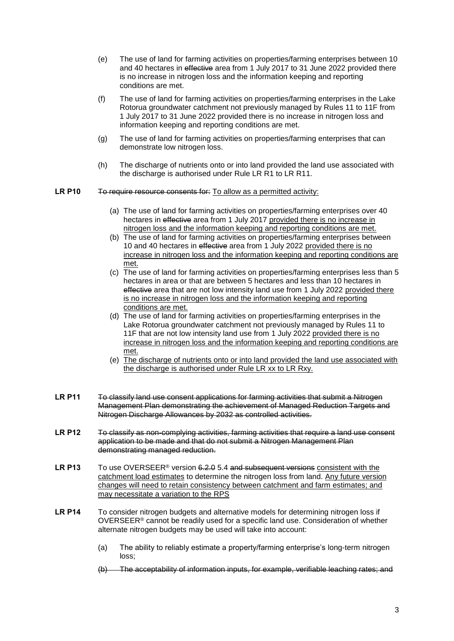- (e) The use of land for farming activities on properties/farming enterprises between 10 and 40 hectares in effective area from 1 July 2017 to 31 June 2022 provided there is no increase in nitrogen loss and the information keeping and reporting conditions are met.
- (f) The use of land for farming activities on properties/farming enterprises in the Lake Rotorua groundwater catchment not previously managed by Rules 11 to 11F from 1 July 2017 to 31 June 2022 provided there is no increase in nitrogen loss and information keeping and reporting conditions are met.
- (g) The use of land for farming activities on properties/farming enterprises that can demonstrate low nitrogen loss.
- (h) The discharge of nutrients onto or into land provided the land use associated with the discharge is authorised under Rule LR R1 to LR R11.

#### **LR P10** To require resource consents for: To allow as a permitted activity:

- (a) The use of land for farming activities on properties/farming enterprises over 40 hectares in effective area from 1 July 2017 provided there is no increase in nitrogen loss and the information keeping and reporting conditions are met.
- (b) The use of land for farming activities on properties/farming enterprises between 10 and 40 hectares in effective area from 1 July 2022 provided there is no increase in nitrogen loss and the information keeping and reporting conditions are met.
- (c) The use of land for farming activities on properties/farming enterprises less than 5 hectares in area or that are between 5 hectares and less than 10 hectares in effective area that are not low intensity land use from 1 July 2022 provided there is no increase in nitrogen loss and the information keeping and reporting conditions are met.
- (d) The use of land for farming activities on properties/farming enterprises in the Lake Rotorua groundwater catchment not previously managed by Rules 11 to 11F that are not low intensity land use from 1 July 2022 provided there is no increase in nitrogen loss and the information keeping and reporting conditions are met.
- (e) The discharge of nutrients onto or into land provided the land use associated with the discharge is authorised under Rule LR xx to LR Rxy.
- LR P11 To classify land use consent applications for farming activities that submit a Nitrogen Management Plan demonstrating the achievement of Managed Reduction Targets and Nitrogen Discharge Allowances by 2032 as controlled activities.
- LR P12 To classify as non-complying activities, farming activities that require a land use consent application to be made and that do not submit a Nitrogen Management Plan demonstrating managed reduction.
- LR P13 To use OVERSEER<sup>®</sup> version 6.2.0 5.4 and subsequent versions consistent with the catchment load estimates to determine the nitrogen loss from land. Any future version changes will need to retain consistency between catchment and farm estimates; and may necessitate a variation to the RPS
- **LR P14** To consider nitrogen budgets and alternative models for determining nitrogen loss if OVERSEER<sup>®</sup> cannot be readily used for a specific land use. Consideration of whether alternate nitrogen budgets may be used will take into account:
	- (a) The ability to reliably estimate a property/farming enterprise's long-term nitrogen loss;
	- (b) The acceptability of information inputs, for example, verifiable leaching rates; and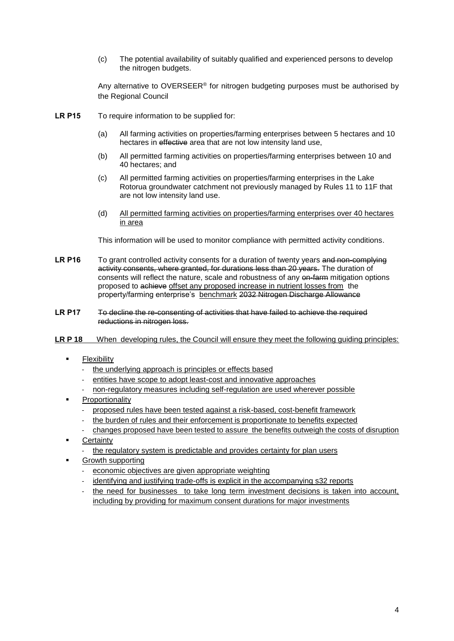(c) The potential availability of suitably qualified and experienced persons to develop the nitrogen budgets.

Any alternative to OVERSEER<sup>®</sup> for nitrogen budgeting purposes must be authorised by the Regional Council

- **LR P15** To require information to be supplied for:
	- (a) All farming activities on properties/farming enterprises between 5 hectares and 10 hectares in effective area that are not low intensity land use,
	- (b) All permitted farming activities on properties/farming enterprises between 10 and 40 hectares; and
	- (c) All permitted farming activities on properties/farming enterprises in the Lake Rotorua groundwater catchment not previously managed by Rules 11 to 11F that are not low intensity land use.
	- (d) All permitted farming activities on properties/farming enterprises over 40 hectares in area

This information will be used to monitor compliance with permitted activity conditions.

- LR P16 To grant controlled activity consents for a duration of twenty years and non-complying activity consents, where granted, for durations less than 20 years. The duration of consents will reflect the nature, scale and robustness of any on-farm mitigation options proposed to achieve offset any proposed increase in nutrient losses from the property/farming enterprise's benchmark 2032 Nitrogen Discharge Allowance
- LR P17 To decline the re-consenting of activities that have failed to achieve the required reductions in nitrogen loss.
- **LR P 18** When developing rules, the Council will ensure they meet the following guiding principles:
	- Flexibility
		- the underlying approach is principles or effects based
		- entities have scope to adopt least-cost and innovative approaches
		- non-regulatory measures including self-regulation are used wherever possible
	- Proportionality
		- proposed rules have been tested against a risk-based, cost-benefit framework
		- the burden of rules and their enforcement is proportionate to benefits expected
		- changes proposed have been tested to assure the benefits outweigh the costs of disruption
	- **Certainty** 
		- the regulatory system is predictable and provides certainty for plan users
	- Growth supporting
		- economic objectives are given appropriate weighting
		- identifying and justifying trade-offs is explicit in the accompanying s32 reports
		- the need for businesses to take long term investment decisions is taken into account, including by providing for maximum consent durations for major investments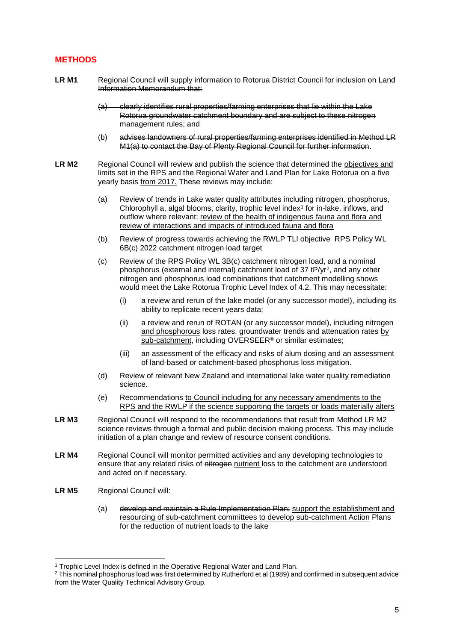## **METHODS**

- LR M1 Regional Council will supply information to Rotorua District Council for inclusion on Land Information Memorandum that:
	- (a) clearly identifies rural properties/farming enterprises that lie within the Lake Rotorua groundwater catchment boundary and are subject to these nitrogen management rules; and
	- (b) advises landowners of rural properties/farming enterprises identified in Method LR M1(a) to contact the Bay of Plenty Regional Council for further information.
- LR M2 Regional Council will review and publish the science that determined the objectives and limits set in the RPS and the Regional Water and Land Plan for Lake Rotorua on a five yearly basis from 2017. These reviews may include:
	- (a) Review of trends in Lake water quality attributes including nitrogen, phosphorus, Chlorophyll a, algal blooms, clarity, trophic level index $1$  for in-lake, inflows, and outflow where relevant; review of the health of indigenous fauna and flora and review of interactions and impacts of introduced fauna and flora
	- (b) Review of progress towards achieving the RWLP TLI objective RPS Policy WL 6B(c) 2022 catchment nitrogen load target
	- (c) Review of the RPS Policy WL 3B(c) catchment nitrogen load, and a nominal phosphorus (external and internal) catchment load of 37 tP/yr<sup>2</sup>, and any other nitrogen and phosphorus load combinations that catchment modelling shows would meet the Lake Rotorua Trophic Level Index of 4.2. This may necessitate:
		- (i) a review and rerun of the lake model (or any successor model), including its ability to replicate recent years data;
		- (ii) a review and rerun of ROTAN (or any successor model), including nitrogen and phosphorous loss rates, groundwater trends and attenuation rates by sub-catchment, including OVERSEER<sup>®</sup> or similar estimates;
		- (iii) an assessment of the efficacy and risks of alum dosing and an assessment of land-based or catchment-based phosphorus loss mitigation.
	- (d) Review of relevant New Zealand and international lake water quality remediation science.
	- (e) Recommendations to Council including for any necessary amendments to the RPS and the RWLP if the science supporting the targets or loads materially alters
- LR M3 Regional Council will respond to the recommendations that result from Method LR M2 science reviews through a formal and public decision making process. This may include initiation of a plan change and review of resource consent conditions.
- **LR M4** Regional Council will monitor permitted activities and any developing technologies to ensure that any related risks of nitrogen nutrient loss to the catchment are understood and acted on if necessary.
- **LR M5** Regional Council will:

-

(a) develop and maintain a Rule Implementation Plan; support the establishment and resourcing of sub-catchment committees to develop sub-catchment Action Plans for the reduction of nutrient loads to the lake

<sup>&</sup>lt;sup>1</sup> Trophic Level Index is defined in the Operative Regional Water and Land Plan.

<sup>&</sup>lt;sup>2</sup> This nominal phosphorus load was first determined by Rutherford et al (1989) and confirmed in subsequent advice from the Water Quality Technical Advisory Group.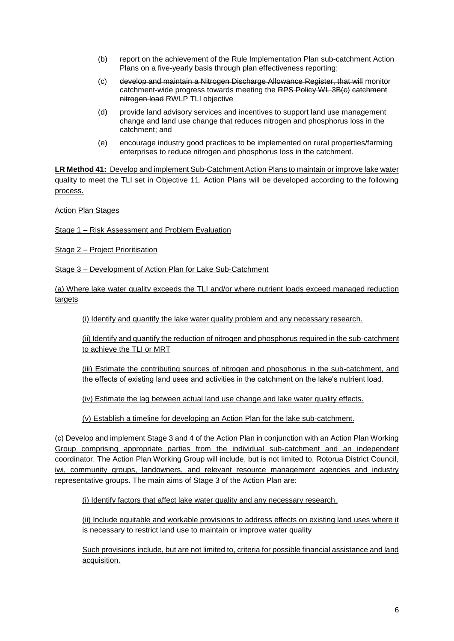- (b) report on the achievement of the Rule Implementation Plan sub-catchment Action Plans on a five-yearly basis through plan effectiveness reporting;
- (c) develop and maintain a Nitrogen Discharge Allowance Register, that will monitor catchment-wide progress towards meeting the RPS Policy WL 3B(c) catchment nitrogen load RWLP TLI objective
- (d) provide land advisory services and incentives to support land use management change and land use change that reduces nitrogen and phosphorus loss in the catchment; and
- (e) encourage industry good practices to be implemented on rural properties/farming enterprises to reduce nitrogen and phosphorus loss in the catchment.

**LR Method 41:** Develop and implement Sub-Catchment Action Plans to maintain or improve lake water quality to meet the TLI set in Objective 11. Action Plans will be developed according to the following process.

Action Plan Stages

Stage 1 – Risk Assessment and Problem Evaluation

Stage 2 – Project Prioritisation

Stage 3 – Development of Action Plan for Lake Sub-Catchment

(a) Where lake water quality exceeds the TLI and/or where nutrient loads exceed managed reduction targets

(i) Identify and quantify the lake water quality problem and any necessary research.

(ii) Identify and quantify the reduction of nitrogen and phosphorus required in the sub-catchment to achieve the TLI or MRT

(iii) Estimate the contributing sources of nitrogen and phosphorus in the sub-catchment, and the effects of existing land uses and activities in the catchment on the lake's nutrient load.

(iv) Estimate the lag between actual land use change and lake water quality effects.

(v) Establish a timeline for developing an Action Plan for the lake sub-catchment.

(c) Develop and implement Stage 3 and 4 of the Action Plan in conjunction with an Action Plan Working Group comprising appropriate parties from the individual sub-catchment and an independent coordinator. The Action Plan Working Group will include, but is not limited to, Rotorua District Council, iwi, community groups, landowners, and relevant resource management agencies and industry representative groups. The main aims of Stage 3 of the Action Plan are:

(i) Identify factors that affect lake water quality and any necessary research.

(ii) Include equitable and workable provisions to address effects on existing land uses where it is necessary to restrict land use to maintain or improve water quality

Such provisions include, but are not limited to, criteria for possible financial assistance and land acquisition.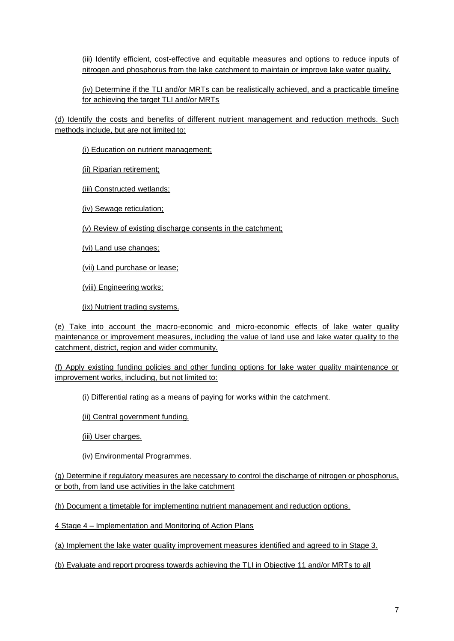(iii) Identify efficient, cost-effective and equitable measures and options to reduce inputs of nitrogen and phosphorus from the lake catchment to maintain or improve lake water quality.

(iv) Determine if the TLI and/or MRTs can be realistically achieved, and a practicable timeline for achieving the target TLI and/or MRTs

(d) Identify the costs and benefits of different nutrient management and reduction methods. Such methods include, but are not limited to:

(i) Education on nutrient management;

(ii) Riparian retirement;

(iii) Constructed wetlands;

(iv) Sewage reticulation;

(v) Review of existing discharge consents in the catchment;

(vi) Land use changes;

(vii) Land purchase or lease;

(viii) Engineering works;

(ix) Nutrient trading systems.

(e) Take into account the macro-economic and micro-economic effects of lake water quality maintenance or improvement measures, including the value of land use and lake water quality to the catchment, district, region and wider community.

(f) Apply existing funding policies and other funding options for lake water quality maintenance or improvement works, including, but not limited to:

(i) Differential rating as a means of paying for works within the catchment.

(ii) Central government funding.

(iii) User charges.

(iv) Environmental Programmes.

(g) Determine if regulatory measures are necessary to control the discharge of nitrogen or phosphorus, or both, from land use activities in the lake catchment

(h) Document a timetable for implementing nutrient management and reduction options.

4 Stage 4 – Implementation and Monitoring of Action Plans

(a) Implement the lake water quality improvement measures identified and agreed to in Stage 3.

(b) Evaluate and report progress towards achieving the TLI in Objective 11 and/or MRTs to all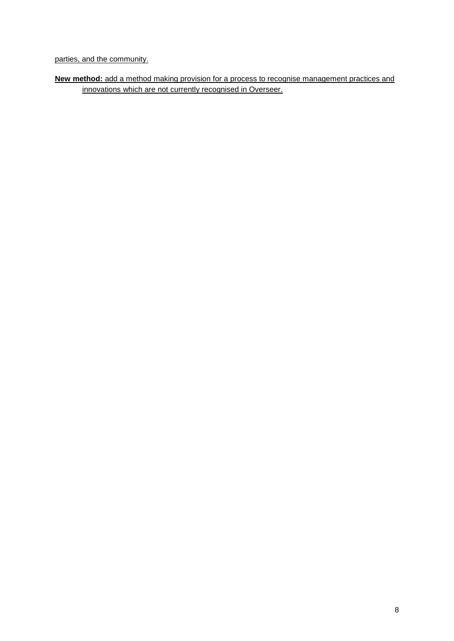parties, and the community.

**New method:** add a method making provision for a process to recognise management practices and innovations which are not currently recognised in Overseer.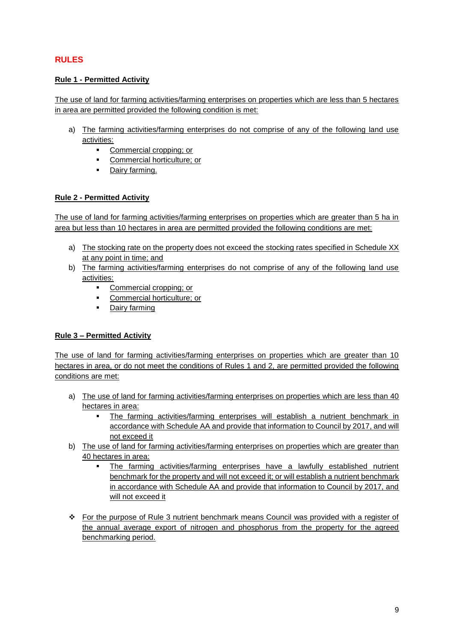# **RULES**

## **Rule 1 - Permitted Activity**

The use of land for farming activities/farming enterprises on properties which are less than 5 hectares in area are permitted provided the following condition is met:

- a) The farming activities/farming enterprises do not comprise of any of the following land use activities:
	- **Commercial cropping: or**
	- Commercial horticulture; or
	- Dairy farming.

## **Rule 2 - Permitted Activity**

The use of land for farming activities/farming enterprises on properties which are greater than 5 ha in area but less than 10 hectares in area are permitted provided the following conditions are met:

- a) The stocking rate on the property does not exceed the stocking rates specified in Schedule XX at any point in time; and
- b) The farming activities/farming enterprises do not comprise of any of the following land use activities:
	- **Commercial cropping; or**
	- Commercial horticulture; or
	- **-** Dairy farming

# **Rule 3 – Permitted Activity**

The use of land for farming activities/farming enterprises on properties which are greater than 10 hectares in area, or do not meet the conditions of Rules 1 and 2, are permitted provided the following conditions are met:

- a) The use of land for farming activities/farming enterprises on properties which are less than 40 hectares in area:
	- The farming activities/farming enterprises will establish a nutrient benchmark in accordance with Schedule AA and provide that information to Council by 2017, and will not exceed it
- b) The use of land for farming activities/farming enterprises on properties which are greater than 40 hectares in area:
	- The farming activities/farming enterprises have a lawfully established nutrient benchmark for the property and will not exceed it; or will establish a nutrient benchmark in accordance with Schedule AA and provide that information to Council by 2017, and will not exceed it
- For the purpose of Rule 3 nutrient benchmark means Council was provided with a register of the annual average export of nitrogen and phosphorus from the property for the agreed benchmarking period.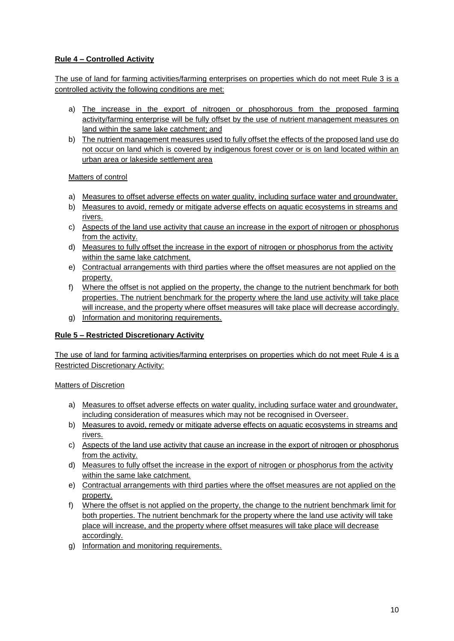# **Rule 4 – Controlled Activity**

The use of land for farming activities/farming enterprises on properties which do not meet Rule 3 is a controlled activity the following conditions are met:

- a) The increase in the export of nitrogen or phosphorous from the proposed farming activity/farming enterprise will be fully offset by the use of nutrient management measures on land within the same lake catchment; and
- b) The nutrient management measures used to fully offset the effects of the proposed land use do not occur on land which is covered by indigenous forest cover or is on land located within an urban area or lakeside settlement area

#### Matters of control

- a) Measures to offset adverse effects on water quality, including surface water and groundwater.
- b) Measures to avoid, remedy or mitigate adverse effects on aquatic ecosystems in streams and rivers.
- c) Aspects of the land use activity that cause an increase in the export of nitrogen or phosphorus from the activity.
- d) Measures to fully offset the increase in the export of nitrogen or phosphorus from the activity within the same lake catchment.
- e) Contractual arrangements with third parties where the offset measures are not applied on the property.
- f) Where the offset is not applied on the property, the change to the nutrient benchmark for both properties. The nutrient benchmark for the property where the land use activity will take place will increase, and the property where offset measures will take place will decrease accordingly.
- g) Information and monitoring requirements.

## **Rule 5 – Restricted Discretionary Activity**

The use of land for farming activities/farming enterprises on properties which do not meet Rule 4 is a Restricted Discretionary Activity:

#### Matters of Discretion

- a) Measures to offset adverse effects on water quality, including surface water and groundwater, including consideration of measures which may not be recognised in Overseer.
- b) Measures to avoid, remedy or mitigate adverse effects on aquatic ecosystems in streams and rivers.
- c) Aspects of the land use activity that cause an increase in the export of nitrogen or phosphorus from the activity.
- d) Measures to fully offset the increase in the export of nitrogen or phosphorus from the activity within the same lake catchment.
- e) Contractual arrangements with third parties where the offset measures are not applied on the property.
- f) Where the offset is not applied on the property, the change to the nutrient benchmark limit for both properties. The nutrient benchmark for the property where the land use activity will take place will increase, and the property where offset measures will take place will decrease accordingly.
- g) Information and monitoring requirements.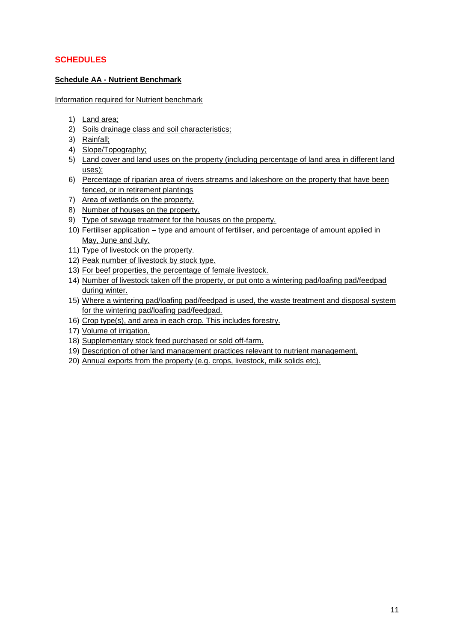# **SCHEDULES**

#### **Schedule AA - Nutrient Benchmark**

Information required for Nutrient benchmark

- 1) Land area;
- 2) Soils drainage class and soil characteristics;
- 3) Rainfall;
- 4) Slope/Topography;
- 5) Land cover and land uses on the property (including percentage of land area in different land uses);
- 6) Percentage of riparian area of rivers streams and lakeshore on the property that have been fenced, or in retirement plantings
- 7) Area of wetlands on the property.
- 8) Number of houses on the property.
- 9) Type of sewage treatment for the houses on the property.
- 10) Fertiliser application type and amount of fertiliser, and percentage of amount applied in May, June and July.
- 11) Type of livestock on the property.
- 12) Peak number of livestock by stock type.
- 13) For beef properties, the percentage of female livestock.
- 14) Number of livestock taken off the property, or put onto a wintering pad/loafing pad/feedpad during winter.
- 15) Where a wintering pad/loafing pad/feedpad is used, the waste treatment and disposal system for the wintering pad/loafing pad/feedpad.
- 16) Crop type(s), and area in each crop. This includes forestry.
- 17) Volume of irrigation.
- 18) Supplementary stock feed purchased or sold off-farm.
- 19) Description of other land management practices relevant to nutrient management.
- 20) Annual exports from the property (e.g. crops, livestock, milk solids etc).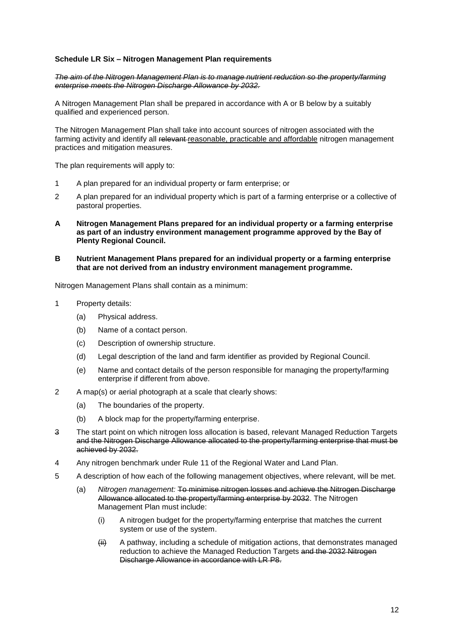#### **Schedule LR Six – Nitrogen Management Plan requirements**

*The aim of the Nitrogen Management Plan is to manage nutrient reduction so the property/farming enterprise meets the Nitrogen Discharge Allowance by 2032.*

A Nitrogen Management Plan shall be prepared in accordance with A or B below by a suitably qualified and experienced person.

The Nitrogen Management Plan shall take into account sources of nitrogen associated with the farming activity and identify all relevant-reasonable, practicable and affordable nitrogen management practices and mitigation measures.

The plan requirements will apply to:

- 1 A plan prepared for an individual property or farm enterprise; or
- 2 A plan prepared for an individual property which is part of a farming enterprise or a collective of pastoral properties.
- **A Nitrogen Management Plans prepared for an individual property or a farming enterprise as part of an industry environment management programme approved by the Bay of Plenty Regional Council.**
- **B Nutrient Management Plans prepared for an individual property or a farming enterprise that are not derived from an industry environment management programme.**

Nitrogen Management Plans shall contain as a minimum:

- 1 Property details:
	- (a) Physical address.
	- (b) Name of a contact person.
	- (c) Description of ownership structure.
	- (d) Legal description of the land and farm identifier as provided by Regional Council.
	- (e) Name and contact details of the person responsible for managing the property/farming enterprise if different from above.
- 2 A map(s) or aerial photograph at a scale that clearly shows:
	- (a) The boundaries of the property.
	- (b) A block map for the property/farming enterprise.
- 3 The start point on which nitrogen loss allocation is based, relevant Managed Reduction Targets and the Nitrogen Discharge Allowance allocated to the property/farming enterprise that must be achieved by 2032.
- 4 Any nitrogen benchmark under Rule 11 of the Regional Water and Land Plan.
- 5 A description of how each of the following management objectives, where relevant, will be met.
	- (a) *Nitrogen management:* To minimise nitrogen losses and achieve the Nitrogen Discharge Allowance allocated to the property/farming enterprise by 2032. The Nitrogen Management Plan must include:
		- (i) A nitrogen budget for the property/farming enterprise that matches the current system or use of the system.
		- $\left\langle \text{iii} \right\rangle$  A pathway, including a schedule of mitigation actions, that demonstrates managed reduction to achieve the Managed Reduction Targets and the 2032 Nitrogen Discharge Allowance in accordance with LR P8.